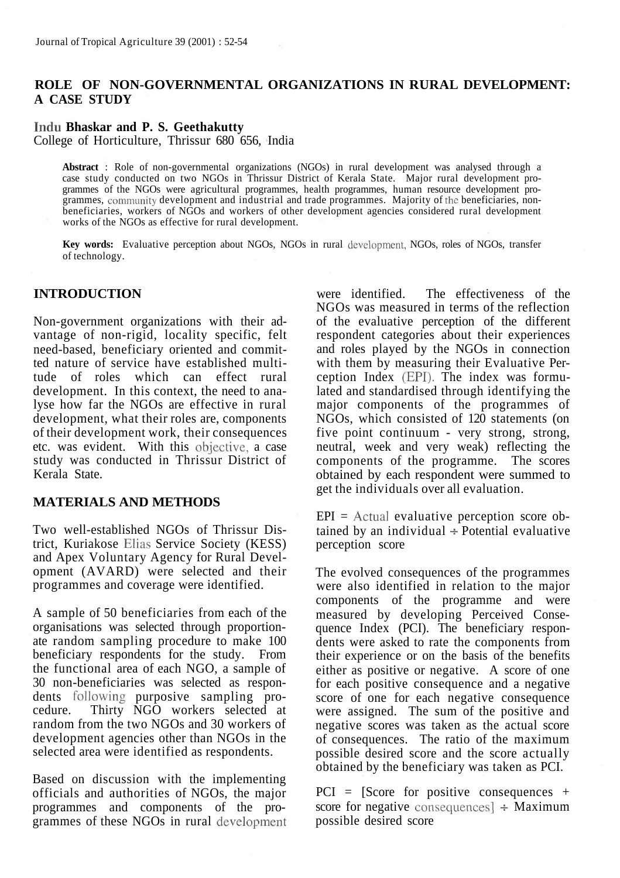# **ROLE OF NON-GOVERNMENTAL ORGANIZATIONS IN RURAL DEVELOPMENT: A CASE STUDY**

## **Indu Bhaskar and P. S. Geethakutty**

College of Horticulture, Thrissur 680 656, India

**Abstract** : Role of non-governmental organizations (NGOs) in rural development was analysed through a case study conducted on two NGOs in Thrissur District of Kerala State. Major rural development programmes of the NGOs were agricultural programmes, health programmes, human resource development programmes, community development and industrial and trade programmes. Majority of the beneficiaries, nonbeneficiaries, workers of NGOs and workers of other development agencies considered rural development works of the NGOs as effective for rural development.

**Key words:** Evaluative perception about NGOs, NGOs in rural development, NGOs, roles of NGOs, transfer of technology.

## **INTRODUCTION**

Non-government organizations with their advantage of non-rigid, locality specific, felt need-based, beneficiary oriented and committed nature of service have established multitude of roles which can effect rural development. In this context, the need to analyse how far the NGOs are effective in rural development, what their roles are, components of their development work, their consequences etc. was evident. With this objective, a case study was conducted in Thrissur District of Kerala State.

#### **MATERIALS AND METHODS**

Two well-established NGOs of Thrissur District, Kuriakose Elias Service Society (KESS) and Apex Voluntary Agency for Rural Development (AVARD) were selected and their programmes and coverage were identified.

A sample of 50 beneficiaries from each of the organisations was selected through proportionate random sampling procedure to make 100 beneficiary respondents for the study. From the functional area of each NGO, a sample of 30 non-beneficiaries was selected as respondents following purposive sampling procedure. Thirty NGO workers selected at random from the two NGOs and 30 workers of development agencies other than NGOs in the selected area were identified as respondents.

Based on discussion with the implementing officials and authorities of NGOs, the major programmes and components of the programmes of these NGOs in rural development were identified. The effectiveness of the NGOs was measured in terms of the reflection of the evaluative perception of the different respondent categories about their experiences and roles played by the NGOs in connection with them by measuring their Evaluative Perception Index (EPI). The index was formulated and standardised through identifying the major components of the programmes of NGOs, which consisted of 120 statements (on five point continuum - very strong, strong, neutral, week and very weak) reflecting the components of the programme. The scores obtained by each respondent were summed to get the individuals over all evaluation.

 $EPI =$  Actual evaluative perception score obtained by an individual  $\div$  Potential evaluative perception score

The evolved consequences of the programmes were also identified in relation to the major components of the programme and were measured by developing Perceived Consequence Index (PCI). The beneficiary respondents were asked to rate the components from their experience or on the basis of the benefits either as positive or negative. A score of one for each positive consequence and a negative score of one for each negative consequence were assigned. The sum of the positive and negative scores was taken as the actual score of consequences. The ratio of the maximum possible desired score and the score actually obtained by the beneficiary was taken as PCI.

PCI = [Score for positive consequences + score for negative consequences] *+* Maximum possible desired score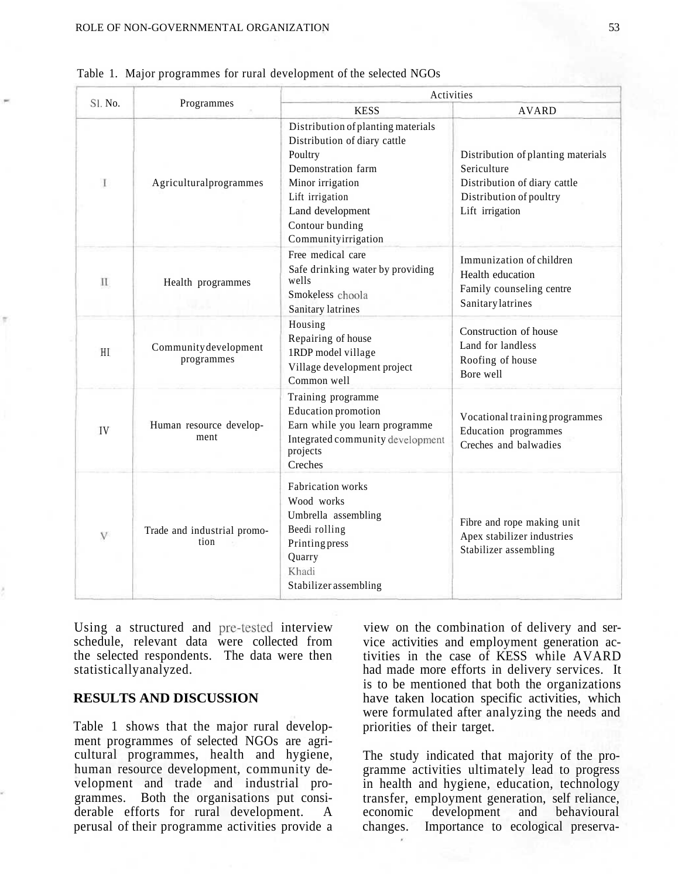| $SL$ No.     |                                     | Activities                                                                                                                                                                                               |                                                                                                                                 |  |  |  |
|--------------|-------------------------------------|----------------------------------------------------------------------------------------------------------------------------------------------------------------------------------------------------------|---------------------------------------------------------------------------------------------------------------------------------|--|--|--|
|              | Programmes                          | <b>KESS</b>                                                                                                                                                                                              | <b>AVARD</b>                                                                                                                    |  |  |  |
| $\mathbf{I}$ | Agriculturalprogrammes              | Distribution of planting materials<br>Distribution of diary cattle<br>Poultry<br>Demonstration farm<br>Minor irrigation<br>Lift irrigation<br>Land development<br>Contour bunding<br>Communityirrigation | Distribution of planting materials<br>Sericulture<br>Distribution of diary cattle<br>Distribution of poultry<br>Lift irrigation |  |  |  |
| П            | Health programmes                   | Free medical care<br>Safe drinking water by providing<br>wells<br>Smokeless choola<br>Sanitary latrines                                                                                                  | Immunization of children<br>Health education<br>Family counseling centre<br><b>Sanitary</b> latrines                            |  |  |  |
| HL           | Community development<br>programmes | Housing<br>Repairing of house<br>1RDP model village<br>Village development project<br>Common well                                                                                                        | Construction of house<br>Land for landless<br>Roofing of house<br>Bore well                                                     |  |  |  |
| IV           | Human resource develop-<br>ment     | Training programme<br><b>Education</b> promotion<br>Earn while you learn programme<br>Integrated community development<br>projects<br>Creches                                                            | Vocational training programmes<br>Education programmes<br>Creches and balwadies                                                 |  |  |  |
| $\mathbf{V}$ | Trade and industrial promo-<br>tion | <b>Fabrication</b> works<br>Wood works<br>Umbrella assembling<br>Beedi rolling<br>Printing press<br>Quarry<br>Khadi<br>Stabilizer assembling                                                             | Fibre and rope making unit<br>Apex stabilizer industries<br>Stabilizer assembling                                               |  |  |  |

|  | Table 1. Major programmes for rural development of the selected NGOs |  |  |  |
|--|----------------------------------------------------------------------|--|--|--|
|  |                                                                      |  |  |  |

Using a structured and pre-tested interview schedule, relevant data were collected from the selected respondents. The data were then statistically analyzed.

#### **RESULTS AND DISCUSSION**

Table 1 shows that the major rural development programmes of selected NGOs are agricultural programmes, health and hygiene, human resource development, community development and trade and industrial programmes. Both the organisations put considerable efforts for rural development. A perusal of their programme activities provide a

view on the combination of delivery and service activities and employment generation activities in the case of KESS while AVARD had made more efforts in delivery services. It is to be mentioned that both the organizations have taken location specific activities, which were formulated after analyzing the needs and priorities of their target.

The study indicated that majority of the programme activities ultimately lead to progress in health and hygiene, education, technology transfer, employment generation, self reliance, economic development and behavioural changes. Importance to ecological preserva-